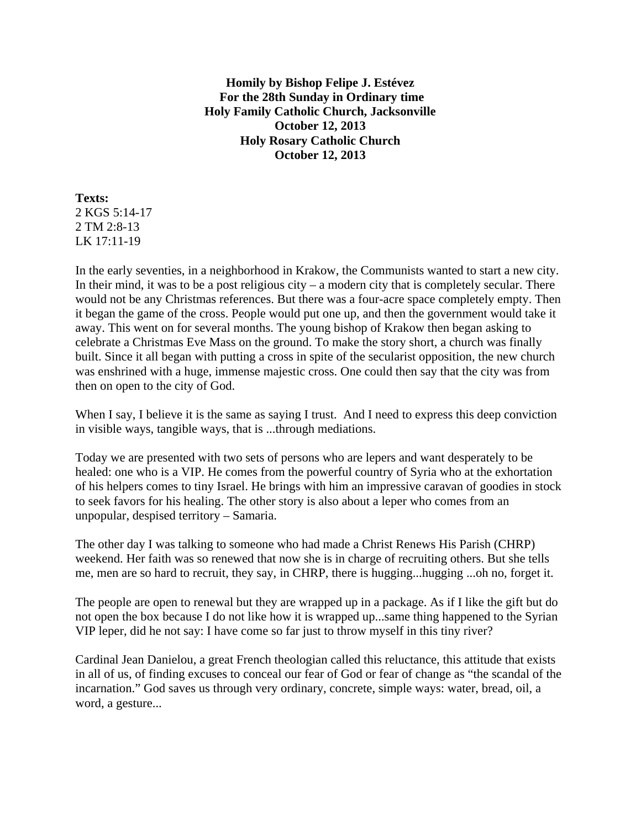**Homily by Bishop Felipe J. Estévez For the 28th Sunday in Ordinary time Holy Family Catholic Church, Jacksonville October 12, 2013 Holy Rosary Catholic Church October 12, 2013** 

**Texts:**  2 KGS 5:14-17 2 TM 2:8-13 LK 17:11-19

In the early seventies, in a neighborhood in Krakow, the Communists wanted to start a new city. In their mind, it was to be a post religious city – a modern city that is completely secular. There would not be any Christmas references. But there was a four-acre space completely empty. Then it began the game of the cross. People would put one up, and then the government would take it away. This went on for several months. The young bishop of Krakow then began asking to celebrate a Christmas Eve Mass on the ground. To make the story short, a church was finally built. Since it all began with putting a cross in spite of the secularist opposition, the new church was enshrined with a huge, immense majestic cross. One could then say that the city was from then on open to the city of God.

When I say, I believe it is the same as saying I trust. And I need to express this deep conviction in visible ways, tangible ways, that is ...through mediations.

Today we are presented with two sets of persons who are lepers and want desperately to be healed: one who is a VIP. He comes from the powerful country of Syria who at the exhortation of his helpers comes to tiny Israel. He brings with him an impressive caravan of goodies in stock to seek favors for his healing. The other story is also about a leper who comes from an unpopular, despised territory – Samaria.

The other day I was talking to someone who had made a Christ Renews His Parish (CHRP) weekend. Her faith was so renewed that now she is in charge of recruiting others. But she tells me, men are so hard to recruit, they say, in CHRP, there is hugging...hugging ...oh no, forget it.

The people are open to renewal but they are wrapped up in a package. As if I like the gift but do not open the box because I do not like how it is wrapped up...same thing happened to the Syrian VIP leper, did he not say: I have come so far just to throw myself in this tiny river?

Cardinal Jean Danielou, a great French theologian called this reluctance, this attitude that exists in all of us, of finding excuses to conceal our fear of God or fear of change as "the scandal of the incarnation." God saves us through very ordinary, concrete, simple ways: water, bread, oil, a word, a gesture...